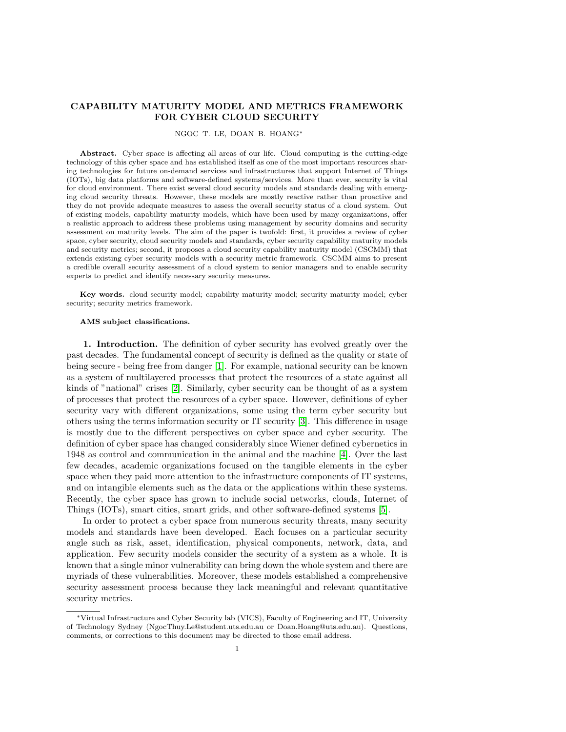# CAPABILITY MATURITY MODEL AND METRICS FRAMEWORK FOR CYBER CLOUD SECURITY

### NGOC T. LE, DOAN B. HOANG<sup>∗</sup>

Abstract. Cyber space is affecting all areas of our life. Cloud computing is the cutting-edge technology of this cyber space and has established itself as one of the most important resources sharing technologies for future on-demand services and infrastructures that support Internet of Things (IOTs), big data platforms and software-defined systems/services. More than ever, security is vital for cloud environment. There exist several cloud security models and standards dealing with emerging cloud security threats. However, these models are mostly reactive rather than proactive and they do not provide adequate measures to assess the overall security status of a cloud system. Out of existing models, capability maturity models, which have been used by many organizations, offer a realistic approach to address these problems using management by security domains and security assessment on maturity levels. The aim of the paper is twofold: first, it provides a review of cyber space, cyber security, cloud security models and standards, cyber security capability maturity models and security metrics; second, it proposes a cloud security capability maturity model (CSCMM) that extends existing cyber security models with a security metric framework. CSCMM aims to present a credible overall security assessment of a cloud system to senior managers and to enable security experts to predict and identify necessary security measures.

Key words. cloud security model; capability maturity model; security maturity model; cyber security; security metrics framework.

### AMS subject classifications.

1. Introduction. The definition of cyber security has evolved greatly over the past decades. The fundamental concept of security is defined as the quality or state of being secure - being free from danger [\[1\]](#page-16-0). For example, national security can be known as a system of multilayered processes that protect the resources of a state against all kinds of "national" crises [\[2\]](#page-16-1). Similarly, cyber security can be thought of as a system of processes that protect the resources of a cyber space. However, definitions of cyber security vary with different organizations, some using the term cyber security but others using the terms information security or IT security [\[3\]](#page-16-2). This difference in usage is mostly due to the different perspectives on cyber space and cyber security. The definition of cyber space has changed considerably since Wiener defined cybernetics in 1948 as control and communication in the animal and the machine [\[4\]](#page-16-3). Over the last few decades, academic organizations focused on the tangible elements in the cyber space when they paid more attention to the infrastructure components of IT systems, and on intangible elements such as the data or the applications within these systems. Recently, the cyber space has grown to include social networks, clouds, Internet of Things (IOTs), smart cities, smart grids, and other software-defined systems [\[5\]](#page-16-4).

In order to protect a cyber space from numerous security threats, many security models and standards have been developed. Each focuses on a particular security angle such as risk, asset, identification, physical components, network, data, and application. Few security models consider the security of a system as a whole. It is known that a single minor vulnerability can bring down the whole system and there are myriads of these vulnerabilities. Moreover, these models established a comprehensive security assessment process because they lack meaningful and relevant quantitative security metrics.

<sup>∗</sup>Virtual Infrastructure and Cyber Security lab (VICS), Faculty of Engineering and IT, University of Technology Sydney (NgocThuy.Le@student.uts.edu.au or Doan.Hoang@uts.edu.au). Questions, comments, or corrections to this document may be directed to those email address.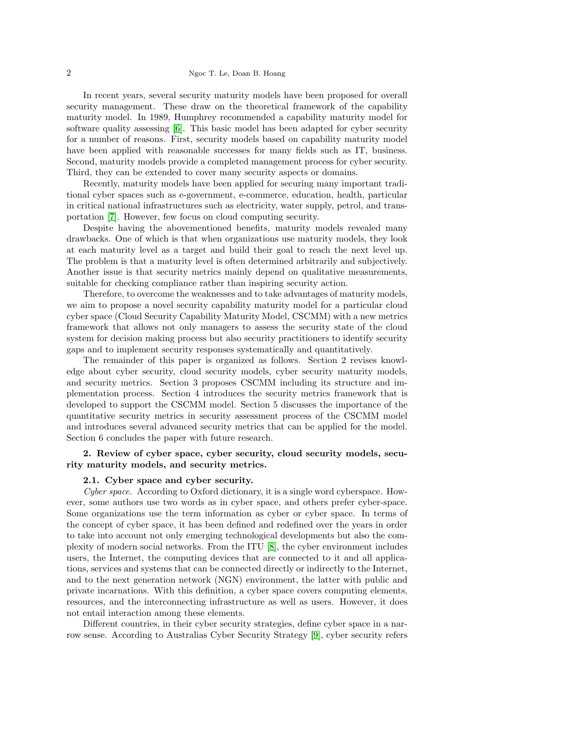## 2 Ngoc T. Le, Doan B. Hoang

In recent years, several security maturity models have been proposed for overall security management. These draw on the theoretical framework of the capability maturity model. In 1989, Humphrey recommended a capability maturity model for software quality assessing [\[6\]](#page-16-5). This basic model has been adapted for cyber security for a number of reasons. First, security models based on capability maturity model have been applied with reasonable successes for many fields such as IT, business. Second, maturity models provide a completed management process for cyber security. Third, they can be extended to cover many security aspects or domains.

Recently, maturity models have been applied for securing many important traditional cyber spaces such as e-government, e-commerce, education, health, particular in critical national infrastructures such as electricity, water supply, petrol, and transportation [\[7\]](#page-16-6). However, few focus on cloud computing security.

Despite having the abovementioned benefits, maturity models revealed many drawbacks. One of which is that when organizations use maturity models, they look at each maturity level as a target and build their goal to reach the next level up. The problem is that a maturity level is often determined arbitrarily and subjectively. Another issue is that security metrics mainly depend on qualitative measurements, suitable for checking compliance rather than inspiring security action.

Therefore, to overcome the weaknesses and to take advantages of maturity models, we aim to propose a novel security capability maturity model for a particular cloud cyber space (Cloud Security Capability Maturity Model, CSCMM) with a new metrics framework that allows not only managers to assess the security state of the cloud system for decision making process but also security practitioners to identify security gaps and to implement security responses systematically and quantitatively.

The remainder of this paper is organized as follows. Section 2 revises knowledge about cyber security, cloud security models, cyber security maturity models, and security metrics. Section 3 proposes CSCMM including its structure and implementation process. Section 4 introduces the security metrics framework that is developed to support the CSCMM model. Section 5 discusses the importance of the quantitative security metrics in security assessment process of the CSCMM model and introduces several advanced security metrics that can be applied for the model. Section 6 concludes the paper with future research.

# 2. Review of cyber space, cyber security, cloud security models, security maturity models, and security metrics.

### 2.1. Cyber space and cyber security.

Cyber space. According to Oxford dictionary, it is a single word cyberspace. However, some authors use two words as in cyber space, and others prefer cyber-space. Some organizations use the term information as cyber or cyber space. In terms of the concept of cyber space, it has been defined and redefined over the years in order to take into account not only emerging technological developments but also the complexity of modern social networks. From the ITU [\[8\]](#page-16-7), the cyber environment includes users, the Internet, the computing devices that are connected to it and all applications, services and systems that can be connected directly or indirectly to the Internet, and to the next generation network (NGN) environment, the latter with public and private incarnations. With this definition, a cyber space covers computing elements, resources, and the interconnecting infrastructure as well as users. However, it does not entail interaction among these elements.

Different countries, in their cyber security strategies, define cyber space in a narrow sense. According to Australias Cyber Security Strategy [\[9\]](#page-16-8), cyber security refers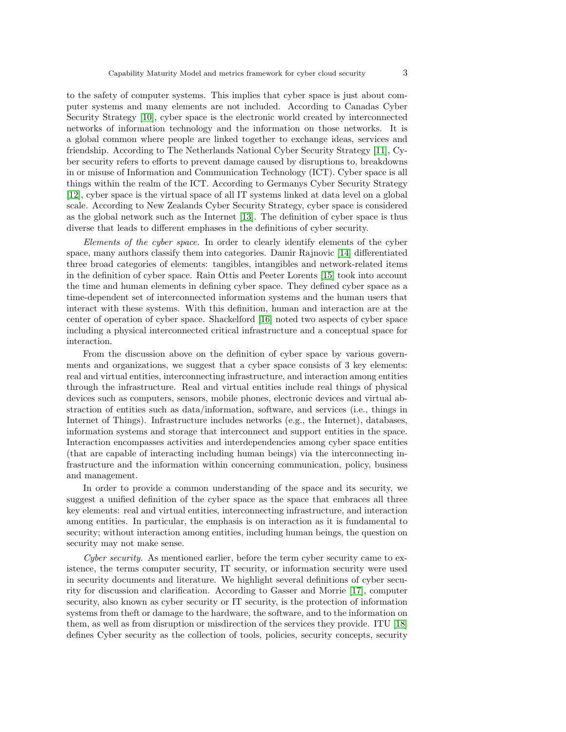to the safety of computer systems. This implies that cyber space is just about computer systems and many elements are not included. According to Canadas Cyber Security Strategy [\[10\]](#page-16-9), cyber space is the electronic world created by interconnected networks of information technology and the information on those networks. It is a global common where people are linked together to exchange ideas, services and friendship. According to The Netherlands National Cyber Security Strategy [\[11\]](#page-16-10), Cyber security refers to efforts to prevent damage caused by disruptions to, breakdowns in or misuse of Information and Communication Technology (ICT). Cyber space is all things within the realm of the ICT. According to Germanys Cyber Security Strategy [\[12\]](#page-16-11), cyber space is the virtual space of all IT systems linked at data level on a global scale. According to New Zealands Cyber Security Strategy, cyber space is considered as the global network such as the Internet [\[13\]](#page-16-12). The definition of cyber space is thus diverse that leads to different emphases in the definitions of cyber security.

Elements of the cyber space. In order to clearly identify elements of the cyber space, many authors classify them into categories. Damir Rajnovic [\[14\]](#page-16-13) differentiated three broad categories of elements: tangibles, intangibles and network-related items in the definition of cyber space. Rain Ottis and Peeter Lorents [\[15\]](#page-16-14) took into account the time and human elements in defining cyber space. They defined cyber space as a time-dependent set of interconnected information systems and the human users that interact with these systems. With this definition, human and interaction are at the center of operation of cyber space. Shackelford [\[16\]](#page-16-15) noted two aspects of cyber space including a physical interconnected critical infrastructure and a conceptual space for interaction.

From the discussion above on the definition of cyber space by various governments and organizations, we suggest that a cyber space consists of 3 key elements: real and virtual entities, interconnecting infrastructure, and interaction among entities through the infrastructure. Real and virtual entities include real things of physical devices such as computers, sensors, mobile phones, electronic devices and virtual abstraction of entities such as data/information, software, and services (i.e., things in Internet of Things). Infrastructure includes networks (e.g., the Internet), databases, information systems and storage that interconnect and support entities in the space. Interaction encompasses activities and interdependencies among cyber space entities (that are capable of interacting including human beings) via the interconnecting infrastructure and the information within concerning communication, policy, business and management.

In order to provide a common understanding of the space and its security, we suggest a unified definition of the cyber space as the space that embraces all three key elements: real and virtual entities, interconnecting infrastructure, and interaction among entities. In particular, the emphasis is on interaction as it is fundamental to security; without interaction among entities, including human beings, the question on security may not make sense.

Cyber security. As mentioned earlier, before the term cyber security came to existence, the terms computer security, IT security, or information security were used in security documents and literature. We highlight several definitions of cyber security for discussion and clarification. According to Gasser and Morrie [\[17\]](#page-16-16), computer security, also known as cyber security or IT security, is the protection of information systems from theft or damage to the hardware, the software, and to the information on them, as well as from disruption or misdirection of the services they provide. ITU [\[18\]](#page-16-17) defines Cyber security as the collection of tools, policies, security concepts, security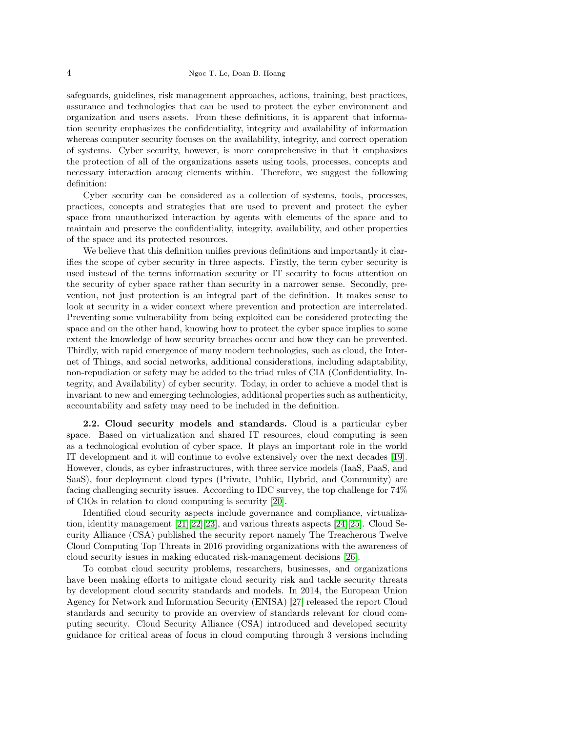safeguards, guidelines, risk management approaches, actions, training, best practices, assurance and technologies that can be used to protect the cyber environment and organization and users assets. From these definitions, it is apparent that information security emphasizes the confidentiality, integrity and availability of information whereas computer security focuses on the availability, integrity, and correct operation of systems. Cyber security, however, is more comprehensive in that it emphasizes the protection of all of the organizations assets using tools, processes, concepts and necessary interaction among elements within. Therefore, we suggest the following definition:

Cyber security can be considered as a collection of systems, tools, processes, practices, concepts and strategies that are used to prevent and protect the cyber space from unauthorized interaction by agents with elements of the space and to maintain and preserve the confidentiality, integrity, availability, and other properties of the space and its protected resources.

We believe that this definition unifies previous definitions and importantly it clarifies the scope of cyber security in three aspects. Firstly, the term cyber security is used instead of the terms information security or IT security to focus attention on the security of cyber space rather than security in a narrower sense. Secondly, prevention, not just protection is an integral part of the definition. It makes sense to look at security in a wider context where prevention and protection are interrelated. Preventing some vulnerability from being exploited can be considered protecting the space and on the other hand, knowing how to protect the cyber space implies to some extent the knowledge of how security breaches occur and how they can be prevented. Thirdly, with rapid emergence of many modern technologies, such as cloud, the Internet of Things, and social networks, additional considerations, including adaptability, non-repudiation or safety may be added to the triad rules of CIA (Confidentiality, Integrity, and Availability) of cyber security. Today, in order to achieve a model that is invariant to new and emerging technologies, additional properties such as authenticity, accountability and safety may need to be included in the definition.

2.2. Cloud security models and standards. Cloud is a particular cyber space. Based on virtualization and shared IT resources, cloud computing is seen as a technological evolution of cyber space. It plays an important role in the world IT development and it will continue to evolve extensively over the next decades [\[19\]](#page-16-18). However, clouds, as cyber infrastructures, with three service models (IaaS, PaaS, and SaaS), four deployment cloud types (Private, Public, Hybrid, and Community) are facing challenging security issues. According to IDC survey, the top challenge for 74% of CIOs in relation to cloud computing is security [\[20\]](#page-16-19).

Identified cloud security aspects include governance and compliance, virtualization, identity management [\[21\]](#page-16-20)[\[22\]](#page-16-21)[\[23\]](#page-16-22), and various threats aspects [\[24\]](#page-16-23)[\[25\]](#page-16-24). Cloud Security Alliance (CSA) published the security report namely The Treacherous Twelve Cloud Computing Top Threats in 2016 providing organizations with the awareness of cloud security issues in making educated risk-management decisions [\[26\]](#page-17-0).

To combat cloud security problems, researchers, businesses, and organizations have been making efforts to mitigate cloud security risk and tackle security threats by development cloud security standards and models. In 2014, the European Union Agency for Network and Information Security (ENISA) [\[27\]](#page-17-1) released the report Cloud standards and security to provide an overview of standards relevant for cloud computing security. Cloud Security Alliance (CSA) introduced and developed security guidance for critical areas of focus in cloud computing through 3 versions including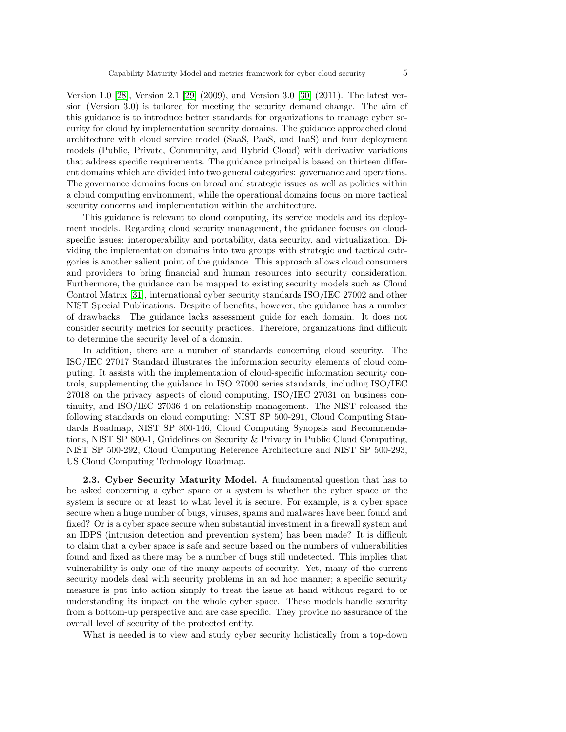Version 1.0 [\[28\]](#page-17-2), Version 2.1 [\[29\]](#page-17-3) (2009), and Version 3.0 [\[30\]](#page-17-4) (2011). The latest version (Version 3.0) is tailored for meeting the security demand change. The aim of this guidance is to introduce better standards for organizations to manage cyber security for cloud by implementation security domains. The guidance approached cloud architecture with cloud service model (SaaS, PaaS, and IaaS) and four deployment models (Public, Private, Community, and Hybrid Cloud) with derivative variations that address specific requirements. The guidance principal is based on thirteen different domains which are divided into two general categories: governance and operations. The governance domains focus on broad and strategic issues as well as policies within a cloud computing environment, while the operational domains focus on more tactical security concerns and implementation within the architecture.

This guidance is relevant to cloud computing, its service models and its deployment models. Regarding cloud security management, the guidance focuses on cloudspecific issues: interoperability and portability, data security, and virtualization. Dividing the implementation domains into two groups with strategic and tactical categories is another salient point of the guidance. This approach allows cloud consumers and providers to bring financial and human resources into security consideration. Furthermore, the guidance can be mapped to existing security models such as Cloud Control Matrix [\[31\]](#page-17-5), international cyber security standards ISO/IEC 27002 and other NIST Special Publications. Despite of benefits, however, the guidance has a number of drawbacks. The guidance lacks assessment guide for each domain. It does not consider security metrics for security practices. Therefore, organizations find difficult to determine the security level of a domain.

In addition, there are a number of standards concerning cloud security. The ISO/IEC 27017 Standard illustrates the information security elements of cloud computing. It assists with the implementation of cloud-specific information security controls, supplementing the guidance in ISO 27000 series standards, including ISO/IEC 27018 on the privacy aspects of cloud computing, ISO/IEC 27031 on business continuity, and ISO/IEC 27036-4 on relationship management. The NIST released the following standards on cloud computing: NIST SP 500-291, Cloud Computing Standards Roadmap, NIST SP 800-146, Cloud Computing Synopsis and Recommendations, NIST SP 800-1, Guidelines on Security & Privacy in Public Cloud Computing, NIST SP 500-292, Cloud Computing Reference Architecture and NIST SP 500-293, US Cloud Computing Technology Roadmap.

2.3. Cyber Security Maturity Model. A fundamental question that has to be asked concerning a cyber space or a system is whether the cyber space or the system is secure or at least to what level it is secure. For example, is a cyber space secure when a huge number of bugs, viruses, spams and malwares have been found and fixed? Or is a cyber space secure when substantial investment in a firewall system and an IDPS (intrusion detection and prevention system) has been made? It is difficult to claim that a cyber space is safe and secure based on the numbers of vulnerabilities found and fixed as there may be a number of bugs still undetected. This implies that vulnerability is only one of the many aspects of security. Yet, many of the current security models deal with security problems in an ad hoc manner; a specific security measure is put into action simply to treat the issue at hand without regard to or understanding its impact on the whole cyber space. These models handle security from a bottom-up perspective and are case specific. They provide no assurance of the overall level of security of the protected entity.

What is needed is to view and study cyber security holistically from a top-down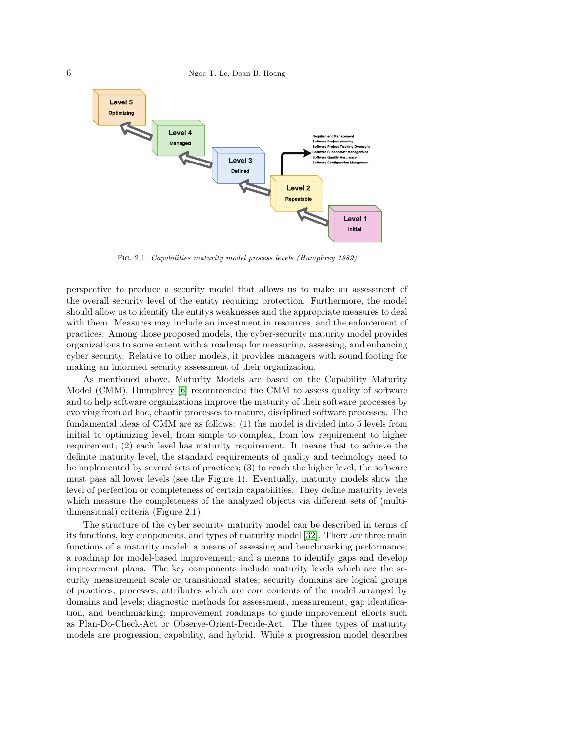6 Ngoc T. Le, Doan B. Hoang



Fig. 2.1. Capabilities maturity model process levels (Humphrey 1989)

perspective to produce a security model that allows us to make an assessment of the overall security level of the entity requiring protection. Furthermore, the model should allow us to identify the entitys weaknesses and the appropriate measures to deal with them. Measures may include an investment in resources, and the enforcement of practices. Among those proposed models, the cyber-security maturity model provides organizations to some extent with a roadmap for measuring, assessing, and enhancing cyber security. Relative to other models, it provides managers with sound footing for making an informed security assessment of their organization.

As mentioned above, Maturity Models are based on the Capability Maturity Model (CMM). Humphrey [\[6\]](#page-16-5) recommended the CMM to assess quality of software and to help software organizations improve the maturity of their software processes by evolving from ad hoc, chaotic processes to mature, disciplined software processes. The fundamental ideas of CMM are as follows: (1) the model is divided into 5 levels from initial to optimizing level, from simple to complex, from low requirement to higher requirement; (2) each level has maturity requirement. It means that to achieve the definite maturity level, the standard requirements of quality and technology need to be implemented by several sets of practices; (3) to reach the higher level, the software must pass all lower levels (see the Figure 1). Eventually, maturity models show the level of perfection or completeness of certain capabilities. They define maturity levels which measure the completeness of the analyzed objects via different sets of (multidimensional) criteria (Figure 2.1).

The structure of the cyber security maturity model can be described in terms of its functions, key components, and types of maturity model [\[32\]](#page-17-6). There are three main functions of a maturity model: a means of assessing and benchmarking performance; a roadmap for model-based improvement; and a means to identify gaps and develop improvement plans. The key components include maturity levels which are the security measurement scale or transitional states; security domains are logical groups of practices, processes; attributes which are core contents of the model arranged by domains and levels; diagnostic methods for assessment, measurement, gap identification, and benchmarking; improvement roadmaps to guide improvement efforts such as Plan-Do-Check-Act or Observe-Orient-Decide-Act. The three types of maturity models are progression, capability, and hybrid. While a progression model describes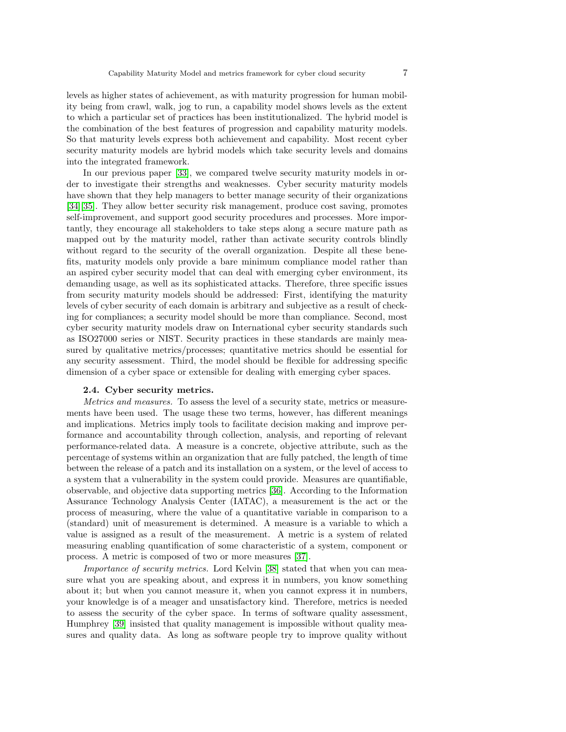levels as higher states of achievement, as with maturity progression for human mobility being from crawl, walk, jog to run, a capability model shows levels as the extent to which a particular set of practices has been institutionalized. The hybrid model is the combination of the best features of progression and capability maturity models. So that maturity levels express both achievement and capability. Most recent cyber security maturity models are hybrid models which take security levels and domains into the integrated framework.

In our previous paper [\[33\]](#page-17-7), we compared twelve security maturity models in order to investigate their strengths and weaknesses. Cyber security maturity models have shown that they help managers to better manage security of their organizations [\[34\]](#page-17-8)[\[35\]](#page-17-9). They allow better security risk management, produce cost saving, promotes self-improvement, and support good security procedures and processes. More importantly, they encourage all stakeholders to take steps along a secure mature path as mapped out by the maturity model, rather than activate security controls blindly without regard to the security of the overall organization. Despite all these benefits, maturity models only provide a bare minimum compliance model rather than an aspired cyber security model that can deal with emerging cyber environment, its demanding usage, as well as its sophisticated attacks. Therefore, three specific issues from security maturity models should be addressed: First, identifying the maturity levels of cyber security of each domain is arbitrary and subjective as a result of checking for compliances; a security model should be more than compliance. Second, most cyber security maturity models draw on International cyber security standards such as ISO27000 series or NIST. Security practices in these standards are mainly measured by qualitative metrics/processes; quantitative metrics should be essential for any security assessment. Third, the model should be flexible for addressing specific dimension of a cyber space or extensible for dealing with emerging cyber spaces.

## 2.4. Cyber security metrics.

Metrics and measures. To assess the level of a security state, metrics or measurements have been used. The usage these two terms, however, has different meanings and implications. Metrics imply tools to facilitate decision making and improve performance and accountability through collection, analysis, and reporting of relevant performance-related data. A measure is a concrete, objective attribute, such as the percentage of systems within an organization that are fully patched, the length of time between the release of a patch and its installation on a system, or the level of access to a system that a vulnerability in the system could provide. Measures are quantifiable, observable, and objective data supporting metrics [\[36\]](#page-17-10). According to the Information Assurance Technology Analysis Center (IATAC), a measurement is the act or the process of measuring, where the value of a quantitative variable in comparison to a (standard) unit of measurement is determined. A measure is a variable to which a value is assigned as a result of the measurement. A metric is a system of related measuring enabling quantification of some characteristic of a system, component or process. A metric is composed of two or more measures [\[37\]](#page-17-11).

Importance of security metrics. Lord Kelvin [\[38\]](#page-17-12) stated that when you can measure what you are speaking about, and express it in numbers, you know something about it; but when you cannot measure it, when you cannot express it in numbers, your knowledge is of a meager and unsatisfactory kind. Therefore, metrics is needed to assess the security of the cyber space. In terms of software quality assessment, Humphrey [\[39\]](#page-17-13) insisted that quality management is impossible without quality measures and quality data. As long as software people try to improve quality without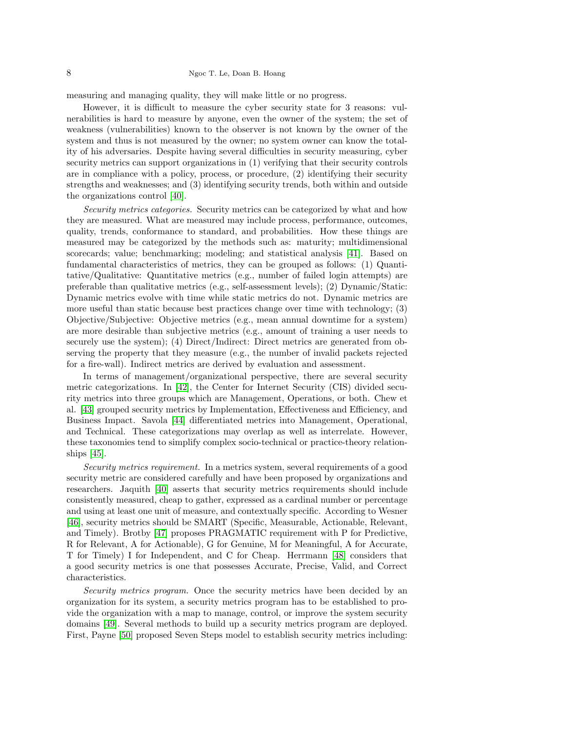measuring and managing quality, they will make little or no progress.

However, it is difficult to measure the cyber security state for 3 reasons: vulnerabilities is hard to measure by anyone, even the owner of the system; the set of weakness (vulnerabilities) known to the observer is not known by the owner of the system and thus is not measured by the owner; no system owner can know the totality of his adversaries. Despite having several difficulties in security measuring, cyber security metrics can support organizations in (1) verifying that their security controls are in compliance with a policy, process, or procedure, (2) identifying their security strengths and weaknesses; and (3) identifying security trends, both within and outside the organizations control [\[40\]](#page-17-14).

Security metrics categories. Security metrics can be categorized by what and how they are measured. What are measured may include process, performance, outcomes, quality, trends, conformance to standard, and probabilities. How these things are measured may be categorized by the methods such as: maturity; multidimensional scorecards; value; benchmarking; modeling; and statistical analysis [\[41\]](#page-17-15). Based on fundamental characteristics of metrics, they can be grouped as follows: (1) Quantitative/Qualitative: Quantitative metrics (e.g., number of failed login attempts) are preferable than qualitative metrics (e.g., self-assessment levels); (2) Dynamic/Static: Dynamic metrics evolve with time while static metrics do not. Dynamic metrics are more useful than static because best practices change over time with technology; (3) Objective/Subjective: Objective metrics (e.g., mean annual downtime for a system) are more desirable than subjective metrics (e.g., amount of training a user needs to securely use the system); (4) Direct/Indirect: Direct metrics are generated from observing the property that they measure (e.g., the number of invalid packets rejected for a fire-wall). Indirect metrics are derived by evaluation and assessment.

In terms of management/organizational perspective, there are several security metric categorizations. In [\[42\]](#page-17-16), the Center for Internet Security (CIS) divided security metrics into three groups which are Management, Operations, or both. Chew et al. [\[43\]](#page-17-17) grouped security metrics by Implementation, Effectiveness and Efficiency, and Business Impact. Savola [\[44\]](#page-17-18) differentiated metrics into Management, Operational, and Technical. These categorizations may overlap as well as interrelate. However, these taxonomies tend to simplify complex socio-technical or practice-theory relationships [\[45\]](#page-17-19).

Security metrics requirement. In a metrics system, several requirements of a good security metric are considered carefully and have been proposed by organizations and researchers. Jaquith [\[40\]](#page-17-14) asserts that security metrics requirements should include consistently measured, cheap to gather, expressed as a cardinal number or percentage and using at least one unit of measure, and contextually specific. According to Wesner [\[46\]](#page-17-20), security metrics should be SMART (Specific, Measurable, Actionable, Relevant, and Timely). Brotby [\[47\]](#page-17-21) proposes PRAGMATIC requirement with P for Predictive, R for Relevant, A for Actionable), G for Genuine, M for Meaningful, A for Accurate, T for Timely) I for Independent, and C for Cheap. Herrmann [\[48\]](#page-17-22) considers that a good security metrics is one that possesses Accurate, Precise, Valid, and Correct characteristics.

Security metrics program. Once the security metrics have been decided by an organization for its system, a security metrics program has to be established to provide the organization with a map to manage, control, or improve the system security domains [\[49\]](#page-17-23). Several methods to build up a security metrics program are deployed. First, Payne [\[50\]](#page-17-24) proposed Seven Steps model to establish security metrics including: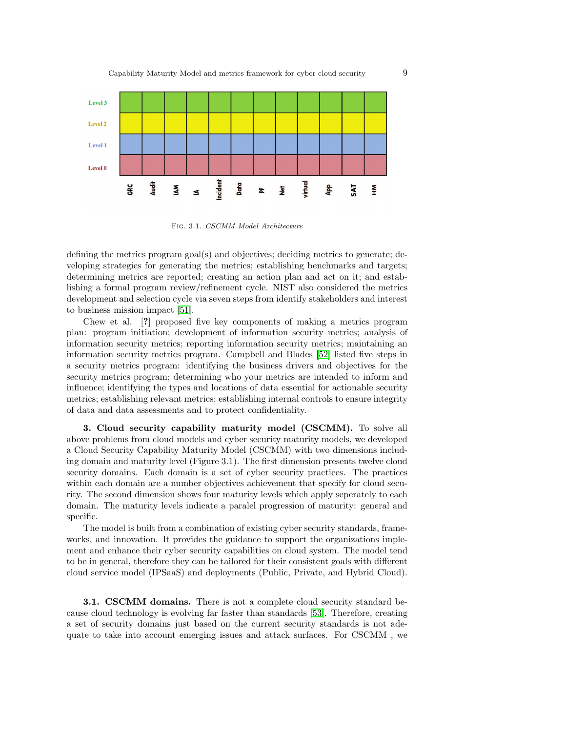

Fig. 3.1. CSCMM Model Architecture

defining the metrics program goal(s) and objectives; deciding metrics to generate; developing strategies for generating the metrics; establishing benchmarks and targets; determining metrics are reported; creating an action plan and act on it; and establishing a formal program review/refinement cycle. NIST also considered the metrics development and selection cycle via seven steps from identify stakeholders and interest to business mission impact [\[51\]](#page-17-25).

Chew et al. [?] proposed five key components of making a metrics program plan: program initiation; development of information security metrics; analysis of information security metrics; reporting information security metrics; maintaining an information security metrics program. Campbell and Blades [\[52\]](#page-17-26) listed five steps in a security metrics program: identifying the business drivers and objectives for the security metrics program; determining who your metrics are intended to inform and influence; identifying the types and locations of data essential for actionable security metrics; establishing relevant metrics; establishing internal controls to ensure integrity of data and data assessments and to protect confidentiality.

3. Cloud security capability maturity model (CSCMM). To solve all above problems from cloud models and cyber security maturity models, we developed a Cloud Security Capability Maturity Model (CSCMM) with two dimensions including domain and maturity level (Figure 3.1). The first dimension presents twelve cloud security domains. Each domain is a set of cyber security practices. The practices within each domain are a number objectives achievement that specify for cloud security. The second dimension shows four maturity levels which apply seperately to each domain. The maturity levels indicate a paralel progression of maturity: general and specific.

The model is built from a combination of existing cyber security standards, frameworks, and innovation. It provides the guidance to support the organizations implement and enhance their cyber security capabilities on cloud system. The model tend to be in general, therefore they can be tailored for their consistent goals with different cloud service model (IPSaaS) and deployments (Public, Private, and Hybrid Cloud).

**3.1. CSCMM domains.** There is not a complete cloud security standard because cloud technology is evolving far faster than standards [\[53\]](#page-17-27). Therefore, creating a set of security domains just based on the current security standards is not adequate to take into account emerging issues and attack surfaces. For CSCMM , we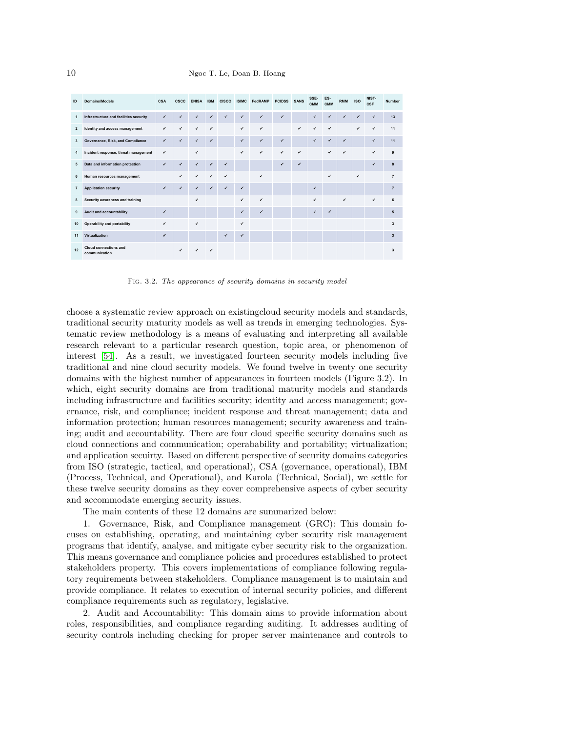| ID             | Domains/Models                                | CSA          | <b>CSCC</b> | <b>ENISA</b> | <b>IBM</b>   | <b>CISCO</b> | <b>ISIMC</b> | FedRAMP      | <b>PCIDSS</b> | <b>SANS</b>  | SSE-<br><b>CMM</b> | ES-<br><b>CMM</b> | <b>RMM</b>   | <b>ISO</b> | NIST-<br><b>CSF</b> | <b>Number</b>           |
|----------------|-----------------------------------------------|--------------|-------------|--------------|--------------|--------------|--------------|--------------|---------------|--------------|--------------------|-------------------|--------------|------------|---------------------|-------------------------|
| $\mathbf{1}$   | Infrastructure and facilities security        | ✔            |             | ✓            | ✔            |              | ✔            | ٠            | ✔             |              | ✔                  | ú                 | ✔            | ر          | ٠                   | 13                      |
| $\overline{2}$ | Identity and access management                | ✔            | ✔           | $\checkmark$ | ✓            |              | ✔            | $\checkmark$ |               | $\checkmark$ | ✓                  | ٧                 |              | ✔          | ۷                   | 11                      |
| 3              | Governance, Risk, and Compliance              | ✔            | ✔           | $\checkmark$ | ✔            |              | ✓            | $\checkmark$ | $\checkmark$  |              | $\checkmark$       | ✓                 | $\checkmark$ |            | ۷                   | 11                      |
| 4              | Incident response, threat management          | ✔            |             | ✔            |              |              | ✔            | $\checkmark$ | $\checkmark$  | $\checkmark$ |                    | $\checkmark$      | $\checkmark$ |            | ٠                   | 9                       |
| 5              | Data and information protection               | ✔            | ✔           | $\checkmark$ | $\checkmark$ | $\checkmark$ |              |              | ✔             | $\checkmark$ |                    |                   |              |            | $\checkmark$        | 8                       |
| 6              | Human resources management                    |              | ✔           | ✓            | $\checkmark$ | ✔            |              | ✔            |               |              |                    | ٠                 |              | ✔          |                     | $\overline{7}$          |
| $\overline{7}$ | <b>Application security</b>                   | $\checkmark$ | ✔           | $\checkmark$ | ✔            | ✔            | $\checkmark$ |              |               |              | ✓                  |                   |              |            |                     | $\overline{7}$          |
| 8              | Security awareness and training               |              |             | ✓            |              |              | ✓            | ٠            |               |              | ✓                  |                   | ✔            |            | ٠                   | 6                       |
| 9              | Audit and accountability                      | ✓            |             |              |              |              | ✔            | $\checkmark$ |               |              | ✓                  | ✓                 |              |            |                     | 5                       |
| 10             | Operability and portability                   | ✓            |             | $\checkmark$ |              |              | ✔            |              |               |              |                    |                   |              |            |                     | 3                       |
| 11             | Virtualization                                | ✔            |             |              |              | ✔            | ✓            |              |               |              |                    |                   |              |            |                     | $\overline{\mathbf{3}}$ |
| 12             | <b>Cloud connections and</b><br>communication |              |             | ✔            | ✔            |              |              |              |               |              |                    |                   |              |            |                     | 3                       |

Fig. 3.2. The appearance of security domains in security model

choose a systematic review approach on existingcloud security models and standards, traditional security maturity models as well as trends in emerging technologies. Systematic review methodology is a means of evaluating and interpreting all available research relevant to a particular research question, topic area, or phenomenon of interest [\[54\]](#page-17-28). As a result, we investigated fourteen security models including five traditional and nine cloud security models. We found twelve in twenty one security domains with the highest number of appearances in fourteen models (Figure 3.2). In which, eight security domains are from traditional maturity models and standards including infrastructure and facilities security; identity and access management; governance, risk, and compliance; incident response and threat management; data and information protection; human resources management; security awareness and training; audit and accountability. There are four cloud specific security domains such as cloud connections and communication; operabability and portability; virtualization; and application secuirty. Based on different perspective of security domains categories from ISO (strategic, tactical, and operational), CSA (governance, operational), IBM (Process, Technical, and Operational), and Karola (Technical, Social), we settle for these twelve security domains as they cover comprehensive aspects of cyber security and accommodate emerging security issues.

The main contents of these 12 domains are summarized below:

1. Governance, Risk, and Compliance management (GRC): This domain focuses on establishing, operating, and maintaining cyber security risk management programs that identify, analyse, and mitigate cyber security risk to the organization. This means governance and compliance policies and procedures established to protect stakeholders property. This covers implementations of compliance following regulatory requirements between stakeholders. Compliance management is to maintain and provide compliance. It relates to execution of internal security policies, and different compliance requirements such as regulatory, legislative.

2. Audit and Accountability: This domain aims to provide information about roles, responsibilities, and compliance regarding auditing. It addresses auditing of security controls including checking for proper server maintenance and controls to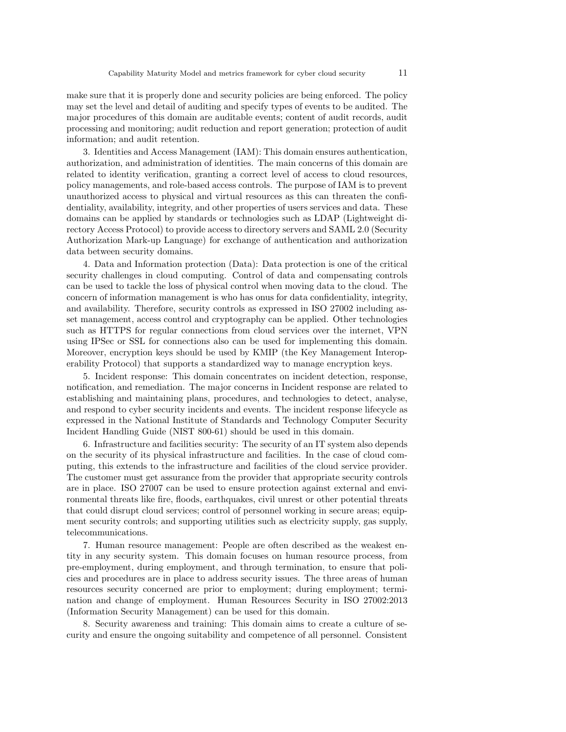make sure that it is properly done and security policies are being enforced. The policy may set the level and detail of auditing and specify types of events to be audited. The major procedures of this domain are auditable events; content of audit records, audit processing and monitoring; audit reduction and report generation; protection of audit information; and audit retention.

3. Identities and Access Management (IAM): This domain ensures authentication, authorization, and administration of identities. The main concerns of this domain are related to identity verification, granting a correct level of access to cloud resources, policy managements, and role-based access controls. The purpose of IAM is to prevent unauthorized access to physical and virtual resources as this can threaten the confidentiality, availability, integrity, and other properties of users services and data. These domains can be applied by standards or technologies such as LDAP (Lightweight directory Access Protocol) to provide access to directory servers and SAML 2.0 (Security Authorization Mark-up Language) for exchange of authentication and authorization data between security domains.

4. Data and Information protection (Data): Data protection is one of the critical security challenges in cloud computing. Control of data and compensating controls can be used to tackle the loss of physical control when moving data to the cloud. The concern of information management is who has onus for data confidentiality, integrity, and availability. Therefore, security controls as expressed in ISO 27002 including asset management, access control and cryptography can be applied. Other technologies such as HTTPS for regular connections from cloud services over the internet, VPN using IPSec or SSL for connections also can be used for implementing this domain. Moreover, encryption keys should be used by KMIP (the Key Management Interoperability Protocol) that supports a standardized way to manage encryption keys.

5. Incident response: This domain concentrates on incident detection, response, notification, and remediation. The major concerns in Incident response are related to establishing and maintaining plans, procedures, and technologies to detect, analyse, and respond to cyber security incidents and events. The incident response lifecycle as expressed in the National Institute of Standards and Technology Computer Security Incident Handling Guide (NIST 800-61) should be used in this domain.

6. Infrastructure and facilities security: The security of an IT system also depends on the security of its physical infrastructure and facilities. In the case of cloud computing, this extends to the infrastructure and facilities of the cloud service provider. The customer must get assurance from the provider that appropriate security controls are in place. ISO 27007 can be used to ensure protection against external and environmental threats like fire, floods, earthquakes, civil unrest or other potential threats that could disrupt cloud services; control of personnel working in secure areas; equipment security controls; and supporting utilities such as electricity supply, gas supply, telecommunications.

7. Human resource management: People are often described as the weakest entity in any security system. This domain focuses on human resource process, from pre-employment, during employment, and through termination, to ensure that policies and procedures are in place to address security issues. The three areas of human resources security concerned are prior to employment; during employment; termination and change of employment. Human Resources Security in ISO 27002:2013 (Information Security Management) can be used for this domain.

8. Security awareness and training: This domain aims to create a culture of security and ensure the ongoing suitability and competence of all personnel. Consistent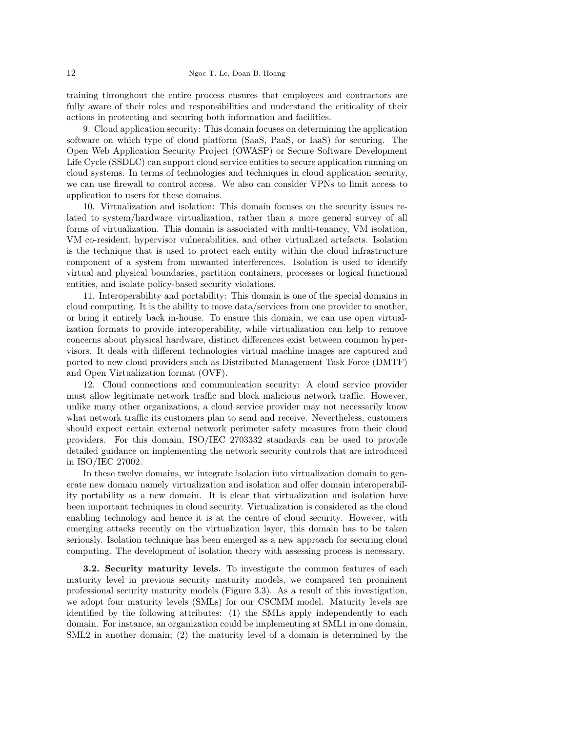training throughout the entire process ensures that employees and contractors are fully aware of their roles and responsibilities and understand the criticality of their actions in protecting and securing both information and facilities.

9. Cloud application security: This domain focuses on determining the application software on which type of cloud platform (SaaS, PaaS, or IaaS) for securing. The Open Web Application Security Project (OWASP) or Secure Software Development Life Cycle (SSDLC) can support cloud service entities to secure application running on cloud systems. In terms of technologies and techniques in cloud application security, we can use firewall to control access. We also can consider VPNs to limit access to application to users for these domains.

10. Virtualization and isolation: This domain focuses on the security issues related to system/hardware virtualization, rather than a more general survey of all forms of virtualization. This domain is associated with multi-tenancy, VM isolation, VM co-resident, hypervisor vulnerabilities, and other virtualized artefacts. Isolation is the technique that is used to protect each entity within the cloud infrastructure component of a system from unwanted interferences. Isolation is used to identify virtual and physical boundaries, partition containers, processes or logical functional entities, and isolate policy-based security violations.

11. Interoperability and portability: This domain is one of the special domains in cloud computing. It is the ability to move data/services from one provider to another, or bring it entirely back in-house. To ensure this domain, we can use open virtualization formats to provide interoperability, while virtualization can help to remove concerns about physical hardware, distinct differences exist between common hypervisors. It deals with different technologies virtual machine images are captured and ported to new cloud providers such as Distributed Management Task Force (DMTF) and Open Virtualization format (OVF).

12. Cloud connections and communication security: A cloud service provider must allow legitimate network traffic and block malicious network traffic. However, unlike many other organizations, a cloud service provider may not necessarily know what network traffic its customers plan to send and receive. Nevertheless, customers should expect certain external network perimeter safety measures from their cloud providers. For this domain, ISO/IEC 2703332 standards can be used to provide detailed guidance on implementing the network security controls that are introduced in ISO/IEC 27002.

In these twelve domains, we integrate isolation into virtualization domain to generate new domain namely virtualization and isolation and offer domain interoperability portability as a new domain. It is clear that virtualization and isolation have been important techniques in cloud security. Virtualization is considered as the cloud enabling technology and hence it is at the centre of cloud security. However, with emerging attacks recently on the virtualization layer, this domain has to be taken seriously. Isolation technique has been emerged as a new approach for securing cloud computing. The development of isolation theory with assessing process is necessary.

3.2. Security maturity levels. To investigate the common features of each maturity level in previous security maturity models, we compared ten prominent professional security maturity models (Figure 3.3). As a result of this investigation, we adopt four maturity levels (SMLs) for our CSCMM model. Maturity levels are identified by the following attributes: (1) the SMLs apply independently to each domain. For instance, an organization could be implementing at SML1 in one domain, SML2 in another domain; (2) the maturity level of a domain is determined by the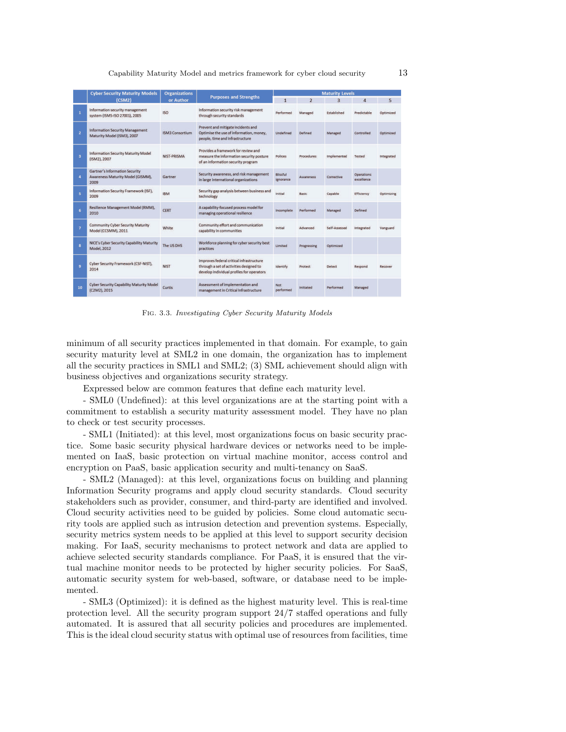|                | <b>Cyber Security Maturity Models</b>                                              | <b>Organizations</b>   |                                                                                                                                  | <b>Maturity Levels</b>       |                  |                    |                                 |            |  |  |
|----------------|------------------------------------------------------------------------------------|------------------------|----------------------------------------------------------------------------------------------------------------------------------|------------------------------|------------------|--------------------|---------------------------------|------------|--|--|
|                | (CSM2)                                                                             | or Author              | <b>Purposes and Strengths</b>                                                                                                    | $\mathbf{1}$                 | $\overline{2}$   | $\overline{3}$     | $\overline{4}$                  | 5          |  |  |
| 1              | Information security management<br>system (ISMS-ISO 27001), 2005                   | <b>ISO</b>             | Information security risk management<br>through security standards                                                               | Performed                    | Managed          | Established        | Predictable                     | Optimized  |  |  |
| $\overline{2}$ | <b>Information Security Management</b><br>Maturity Model (ISM3), 2007              | <b>ISM3 Consortium</b> | Prevent and mitigate incidents and<br>Optimise the use of information, money,<br>people, time and infrastructure                 | <b>Undefined</b>             | Defined          | Managed            | Controlled                      | Optimized  |  |  |
| $\overline{3}$ | <b>Information Security Maturity Model</b><br>(ISM2), 2007                         | NIST-PRISMA            | Provides a framework for review and<br>measure the information security posture<br>of an information security program            | Polices                      | Procedures       | <b>Implemented</b> | <b>Tested</b>                   | Integrated |  |  |
| 4              | <b>Gartner's Information Security</b><br>Awareness Maturity Model (GISMM),<br>2009 | Gartner                | Security awareness, and risk management<br>in large international organizations                                                  | <b>Blissful</b><br>ignorance | <b>Awareness</b> | Corrective         | <b>Operations</b><br>excellence |            |  |  |
| 5              | Information Security Framework (ISF),<br>2009                                      | <b>IBM</b>             | Security gap analysis between business and<br>technology                                                                         | Initial                      | Basic            | Capable            | Efficiency                      | Optimizing |  |  |
| 6              | Resilience Management Model (RMM),<br>2010                                         | <b>CERT</b>            | A capability-focused process model for<br>managing operational resilience                                                        | Incomplete                   | Performed        | Managed            | <b>Defined</b>                  |            |  |  |
| $\overline{7}$ | <b>Community Cyber Security Maturity</b><br>Model (CCSMM), 2011                    | White                  | Community effort and communication<br>capability in communities                                                                  | Initial                      | Advanced         | Self-Assessed      | Integrated                      | Vanguard   |  |  |
| $\mathbf{a}$   | NICE's Cyber Security Capability Maturity<br><b>Model, 2012</b>                    | The US DHS             | Workforce planning for cyber security best<br>practices                                                                          | Limited                      | Progressing      | Optimized          |                                 |            |  |  |
| 9              | Cyber Security Framework (CSF-NIST),<br>2014                                       | <b>NIST</b>            | Improves federal critical infrastructure<br>through a set of activities designed to<br>develop individual profiles for operators | Identify                     | Protect          | <b>Detect</b>      | <b>Respond</b>                  | Recover    |  |  |
| 10             | <b>Cyber Security Capability Maturity Model</b><br>(C2M2), 2015                    | Curtis                 | Assessment of implementation and<br>management in Critical Infrastructure                                                        | Not<br>performed             | Initiated        | Performed          | Managed                         |            |  |  |

Fig. 3.3. Investigating Cyber Security Maturity Models

minimum of all security practices implemented in that domain. For example, to gain security maturity level at SML2 in one domain, the organization has to implement all the security practices in SML1 and SML2; (3) SML achievement should align with business objectives and organizations security strategy.

Expressed below are common features that define each maturity level.

- SML0 (Undefined): at this level organizations are at the starting point with a commitment to establish a security maturity assessment model. They have no plan to check or test security processes.

- SML1 (Initiated): at this level, most organizations focus on basic security practice. Some basic security physical hardware devices or networks need to be implemented on IaaS, basic protection on virtual machine monitor, access control and encryption on PaaS, basic application security and multi-tenancy on SaaS.

- SML2 (Managed): at this level, organizations focus on building and planning Information Security programs and apply cloud security standards. Cloud security stakeholders such as provider, consumer, and third-party are identified and involved. Cloud security activities need to be guided by policies. Some cloud automatic security tools are applied such as intrusion detection and prevention systems. Especially, security metrics system needs to be applied at this level to support security decision making. For IaaS, security mechanisms to protect network and data are applied to achieve selected security standards compliance. For PaaS, it is ensured that the virtual machine monitor needs to be protected by higher security policies. For SaaS, automatic security system for web-based, software, or database need to be implemented.

- SML3 (Optimized): it is defined as the highest maturity level. This is real-time protection level. All the security program support 24/7 staffed operations and fully automated. It is assured that all security policies and procedures are implemented. This is the ideal cloud security status with optimal use of resources from facilities, time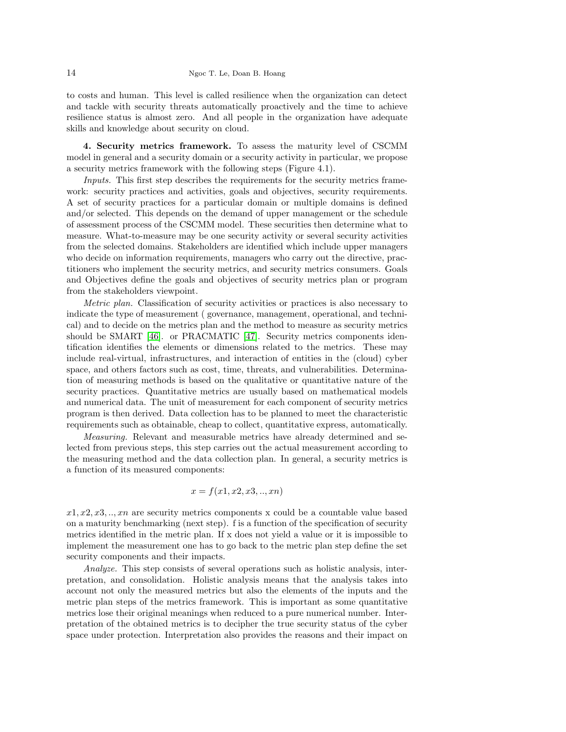to costs and human. This level is called resilience when the organization can detect and tackle with security threats automatically proactively and the time to achieve resilience status is almost zero. And all people in the organization have adequate skills and knowledge about security on cloud.

4. Security metrics framework. To assess the maturity level of CSCMM model in general and a security domain or a security activity in particular, we propose a security metrics framework with the following steps (Figure 4.1).

Inputs. This first step describes the requirements for the security metrics framework: security practices and activities, goals and objectives, security requirements. A set of security practices for a particular domain or multiple domains is defined and/or selected. This depends on the demand of upper management or the schedule of assessment process of the CSCMM model. These securities then determine what to measure. What-to-measure may be one security activity or several security activities from the selected domains. Stakeholders are identified which include upper managers who decide on information requirements, managers who carry out the directive, practitioners who implement the security metrics, and security metrics consumers. Goals and Objectives define the goals and objectives of security metrics plan or program from the stakeholders viewpoint.

Metric plan. Classification of security activities or practices is also necessary to indicate the type of measurement ( governance, management, operational, and technical) and to decide on the metrics plan and the method to measure as security metrics should be SMART [\[46\]](#page-17-20). or PRACMATIC [\[47\]](#page-17-21). Security metrics components identification identifies the elements or dimensions related to the metrics. These may include real-virtual, infrastructures, and interaction of entities in the (cloud) cyber space, and others factors such as cost, time, threats, and vulnerabilities. Determination of measuring methods is based on the qualitative or quantitative nature of the security practices. Quantitative metrics are usually based on mathematical models and numerical data. The unit of measurement for each component of security metrics program is then derived. Data collection has to be planned to meet the characteristic requirements such as obtainable, cheap to collect, quantitative express, automatically.

Measuring. Relevant and measurable metrics have already determined and selected from previous steps, this step carries out the actual measurement according to the measuring method and the data collection plan. In general, a security metrics is a function of its measured components:

$$
x = f(x_1, x_2, x_3, \ldots, xn)
$$

 $x1, x2, x3, \ldots, xn$  are security metrics components x could be a countable value based on a maturity benchmarking (next step). f is a function of the specification of security metrics identified in the metric plan. If x does not yield a value or it is impossible to implement the measurement one has to go back to the metric plan step define the set security components and their impacts.

Analyze. This step consists of several operations such as holistic analysis, interpretation, and consolidation. Holistic analysis means that the analysis takes into account not only the measured metrics but also the elements of the inputs and the metric plan steps of the metrics framework. This is important as some quantitative metrics lose their original meanings when reduced to a pure numerical number. Interpretation of the obtained metrics is to decipher the true security status of the cyber space under protection. Interpretation also provides the reasons and their impact on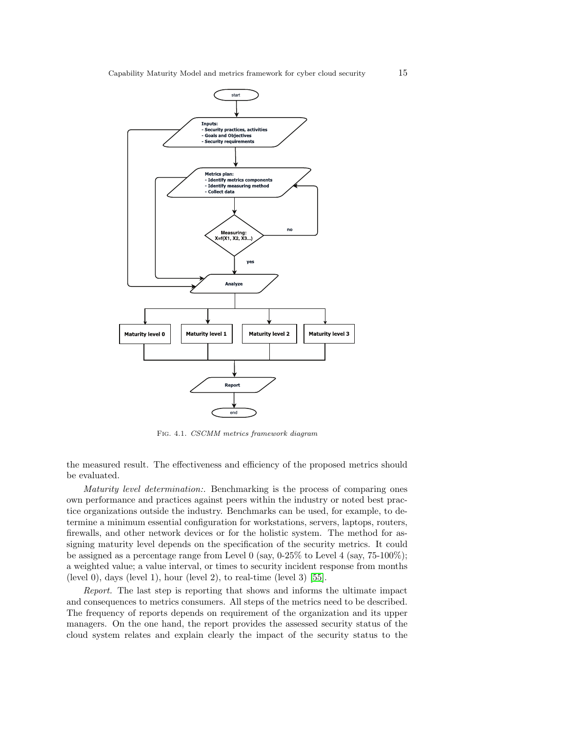

Fig. 4.1. CSCMM metrics framework diagram

the measured result. The effectiveness and efficiency of the proposed metrics should be evaluated.

Maturity level determination:. Benchmarking is the process of comparing ones own performance and practices against peers within the industry or noted best practice organizations outside the industry. Benchmarks can be used, for example, to determine a minimum essential configuration for workstations, servers, laptops, routers, firewalls, and other network devices or for the holistic system. The method for assigning maturity level depends on the specification of the security metrics. It could be assigned as a percentage range from Level 0 (say,  $0.25\%$  to Level 4 (say,  $75{\text -}100\%$ ); a weighted value; a value interval, or times to security incident response from months (level 0), days (level 1), hour (level 2), to real-time (level 3)  $[55]$ .

Report. The last step is reporting that shows and informs the ultimate impact and consequences to metrics consumers. All steps of the metrics need to be described. The frequency of reports depends on requirement of the organization and its upper managers. On the one hand, the report provides the assessed security status of the cloud system relates and explain clearly the impact of the security status to the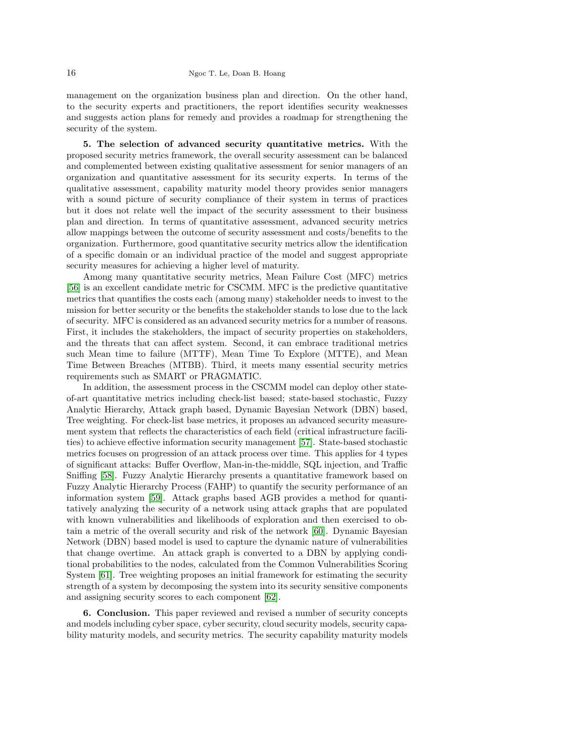management on the organization business plan and direction. On the other hand, to the security experts and practitioners, the report identifies security weaknesses and suggests action plans for remedy and provides a roadmap for strengthening the security of the system.

5. The selection of advanced security quantitative metrics. With the proposed security metrics framework, the overall security assessment can be balanced and complemented between existing qualitative assessment for senior managers of an organization and quantitative assessment for its security experts. In terms of the qualitative assessment, capability maturity model theory provides senior managers with a sound picture of security compliance of their system in terms of practices but it does not relate well the impact of the security assessment to their business plan and direction. In terms of quantitative assessment, advanced security metrics allow mappings between the outcome of security assessment and costs/benefits to the organization. Furthermore, good quantitative security metrics allow the identification of a specific domain or an individual practice of the model and suggest appropriate security measures for achieving a higher level of maturity.

Among many quantitative security metrics, Mean Failure Cost (MFC) metrics [\[56\]](#page-17-30) is an excellent candidate metric for CSCMM. MFC is the predictive quantitative metrics that quantifies the costs each (among many) stakeholder needs to invest to the mission for better security or the benefits the stakeholder stands to lose due to the lack of security. MFC is considered as an advanced security metrics for a number of reasons. First, it includes the stakeholders, the impact of security properties on stakeholders, and the threats that can affect system. Second, it can embrace traditional metrics such Mean time to failure (MTTF), Mean Time To Explore (MTTE), and Mean Time Between Breaches (MTBB). Third, it meets many essential security metrics requirements such as SMART or PRAGMATIC.

In addition, the assessment process in the CSCMM model can deploy other stateof-art quantitative metrics including check-list based; state-based stochastic, Fuzzy Analytic Hierarchy, Attack graph based, Dynamic Bayesian Network (DBN) based, Tree weighting. For check-list base metrics, it proposes an advanced security measurement system that reflects the characteristics of each field (critical infrastructure facilities) to achieve effective information security management [\[57\]](#page-17-31). State-based stochastic metrics focuses on progression of an attack process over time. This applies for 4 types of significant attacks: Buffer Overflow, Man-in-the-middle, SQL injection, and Traffic Sniffing [\[58\]](#page-18-0). Fuzzy Analytic Hierarchy presents a quantitative framework based on Fuzzy Analytic Hierarchy Process (FAHP) to quantify the security performance of an information system [\[59\]](#page-18-1). Attack graphs based AGB provides a method for quantitatively analyzing the security of a network using attack graphs that are populated with known vulnerabilities and likelihoods of exploration and then exercised to obtain a metric of the overall security and risk of the network [\[60\]](#page-18-2). Dynamic Bayesian Network (DBN) based model is used to capture the dynamic nature of vulnerabilities that change overtime. An attack graph is converted to a DBN by applying conditional probabilities to the nodes, calculated from the Common Vulnerabilities Scoring System [\[61\]](#page-18-3). Tree weighting proposes an initial framework for estimating the security strength of a system by decomposing the system into its security sensitive components and assigning security scores to each component [\[62\]](#page-18-4).

6. Conclusion. This paper reviewed and revised a number of security concepts and models including cyber space, cyber security, cloud security models, security capability maturity models, and security metrics. The security capability maturity models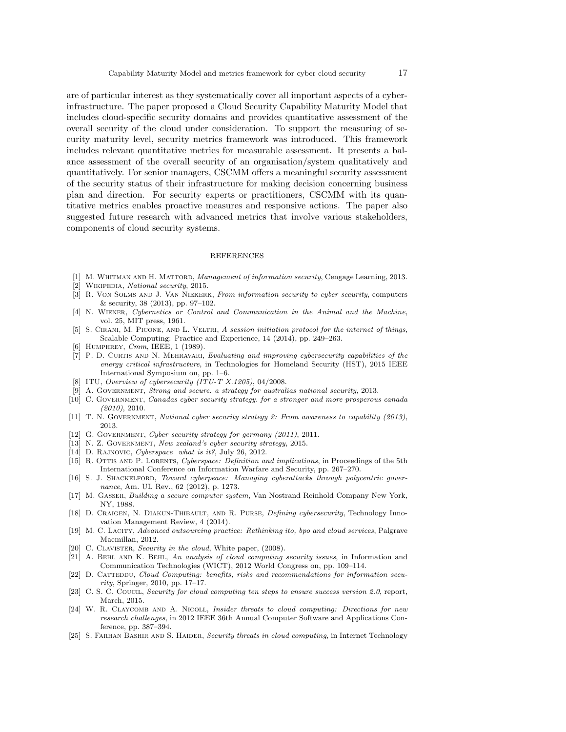are of particular interest as they systematically cover all important aspects of a cyberinfrastructure. The paper proposed a Cloud Security Capability Maturity Model that includes cloud-specific security domains and provides quantitative assessment of the overall security of the cloud under consideration. To support the measuring of security maturity level, security metrics framework was introduced. This framework includes relevant quantitative metrics for measurable assessment. It presents a balance assessment of the overall security of an organisation/system qualitatively and quantitatively. For senior managers, CSCMM offers a meaningful security assessment of the security status of their infrastructure for making decision concerning business plan and direction. For security experts or practitioners, CSCMM with its quantitative metrics enables proactive measures and responsive actions. The paper also suggested future research with advanced metrics that involve various stakeholders, components of cloud security systems.

### REFERENCES

- <span id="page-16-0"></span>[1] M. WHITMAN AND H. MATTORD, Management of information security, Cengage Learning, 2013.
- <span id="page-16-1"></span>[2] WIKIPEDIA, National security, 2015.
- <span id="page-16-2"></span>[3] R. VON SOLMS AND J. VAN NIEKERK, From information security to cyber security, computers & security, 38 (2013), pp. 97–102.
- <span id="page-16-3"></span>[4] N. Wiener, Cybernetics or Control and Communication in the Animal and the Machine, vol. 25, MIT press, 1961.
- <span id="page-16-4"></span>[5] S. CIRANI, M. PICONE, AND L. VELTRI, A session initiation protocol for the internet of things, Scalable Computing: Practice and Experience, 14 (2014), pp. 249–263.
- <span id="page-16-5"></span>[6] HUMPHREY, *Cmm*, IEEE, 1 (1989).
- <span id="page-16-6"></span>[7] P. D. Curtis and N. Mehravari, Evaluating and improving cybersecurity capabilities of the energy critical infrastructure, in Technologies for Homeland Security (HST), 2015 IEEE International Symposium on, pp. 1–6.
- <span id="page-16-7"></span>[8] ITU, Overview of cybersecurity (ITU-T X.1205), 04/2008.
- <span id="page-16-8"></span>[9] A. GOVERNMENT, Strong and secure. a strategy for australias national security, 2013.
- <span id="page-16-9"></span>[10] C. GOVERNMENT, Canadas cyber security strategy. for a stronger and more prosperous canada (2010), 2010.
- <span id="page-16-10"></span>[11] T. N. GOVERNMENT, National cyber security strategy 2: From awareness to capability (2013), 2013.
- <span id="page-16-11"></span>[12] G. GOVERNMENT, Cyber security strategy for germany (2011), 2011.
- <span id="page-16-12"></span>[13] N. Z. GOVERNMENT, New zealand's cyber security strategy, 2015.
- <span id="page-16-13"></span>[14] D. RAJNOVIC, Cyberspace what is it?, July 26, 2012.
- <span id="page-16-14"></span>[15] R. OTTIS AND P. LORENTS, Cyberspace: Definition and implications, in Proceedings of the 5th International Conference on Information Warfare and Security, pp. 267–270.
- <span id="page-16-15"></span>[16] S. J. Shackelford, Toward cyberpeace: Managing cyberattacks through polycentric governance, Am. UL Rev., 62 (2012), p. 1273.
- <span id="page-16-16"></span>[17] M. Gasser, Building a secure computer system, Van Nostrand Reinhold Company New York, NY, 1988.
- <span id="page-16-17"></span>[18] D. Craigen, N. Diakun-Thibault, and R. Purse, Defining cybersecurity, Technology Innovation Management Review, 4 (2014).
- <span id="page-16-18"></span>[19] M. C. Lacity, Advanced outsourcing practice: Rethinking ito, bpo and cloud services, Palgrave Macmillan, 2012.
- <span id="page-16-19"></span>[20] C. CLAVISTER, Security in the cloud, White paper, (2008).
- <span id="page-16-20"></span>[21] A. BEHL AND K. BEHL, An analysis of cloud computing security issues, in Information and Communication Technologies (WICT), 2012 World Congress on, pp. 109–114.
- <span id="page-16-21"></span>[22] D. CATTEDDU, Cloud Computing: benefits, risks and recommendations for information security, Springer, 2010, pp. 17–17.
- <span id="page-16-22"></span>[23] C. S. C. COUCIL, Security for cloud computing ten steps to ensure success version 2.0, report, March, 2015.
- <span id="page-16-23"></span>[24] W. R. CLAYCOMB AND A. NICOLL, Insider threats to cloud computing: Directions for new research challenges, in 2012 IEEE 36th Annual Computer Software and Applications Conference, pp. 387–394.
- <span id="page-16-24"></span>[25] S. FARHAN BASHIR AND S. HAIDER, Security threats in cloud computing, in Internet Technology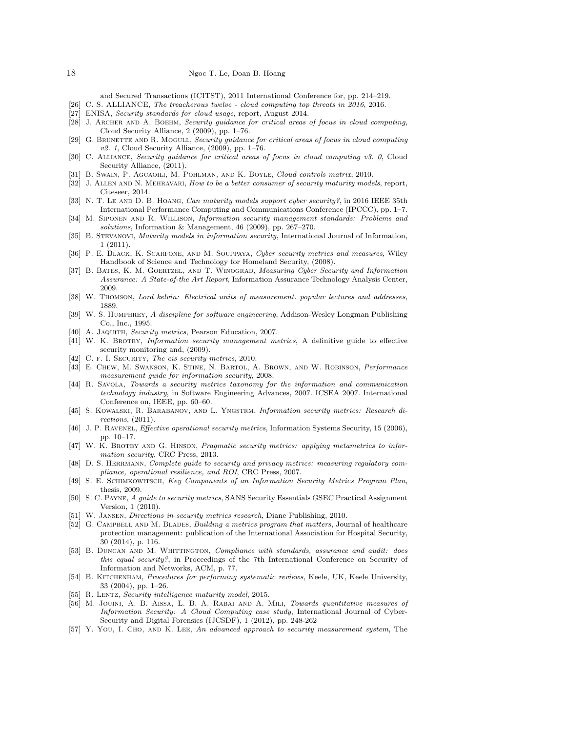and Secured Transactions (ICITST), 2011 International Conference for, pp. 214–219.

- <span id="page-17-0"></span>[26] C. S. ALLIANCE, The treacherous twelve - cloud computing top threats in 2016, 2016.
- <span id="page-17-1"></span>[27] ENISA, *Security standards for cloud usage*, report, August 2014.
- <span id="page-17-2"></span>[28] J. ARCHER AND A. BOEHM, Security guidance for critical areas of focus in cloud computing, Cloud Security Alliance, 2 (2009), pp. 1–76.
- <span id="page-17-3"></span>[29] G. BRUNETTE AND R. MOGULL, Security quidance for critical areas of focus in cloud computing  $v2.$  1, Cloud Security Alliance,  $(2009)$ , pp. 1–76.
- <span id="page-17-4"></span>[30] C. Alliance, Security guidance for critical areas of focus in cloud computing v3. 0, Cloud Security Alliance, (2011).
- <span id="page-17-5"></span>[31] B. Swain, P. Agcaoili, M. Pohlman, and K. Boyle, Cloud controls matrix, 2010.
- <span id="page-17-6"></span>[32] J. ALLEN AND N. MEHRAVARI, How to be a better consumer of security maturity models, report, Citeseer, 2014.
- <span id="page-17-7"></span>[33] N. T. LE AND D. B. HOANG, Can maturity models support cyber security?, in 2016 IEEE 35th International Performance Computing and Communications Conference (IPCCC), pp. 1–7.
- <span id="page-17-8"></span>[34] M. Siponen and R. Willison, Information security management standards: Problems and solutions, Information & Management, 46 (2009), pp. 267–270.
- <span id="page-17-9"></span>[35] B. Stevanovi, Maturity models in information security, International Journal of Information, 1 (2011).
- <span id="page-17-10"></span>[36] P. E. Black, K. Scarfone, and M. Souppaya, Cyber security metrics and measures, Wiley Handbook of Science and Technology for Homeland Security, (2008).
- <span id="page-17-11"></span>[37] B. Bates, K. M. Goertzel, and T. Winograd, Measuring Cyber Security and Information Assurance: A State-of-the Art Report, Information Assurance Technology Analysis Center, 2009.
- <span id="page-17-12"></span>[38] W. Thomson, Lord kelvin: Electrical units of measurement. popular lectures and addresses, 1889.
- <span id="page-17-13"></span>[39] W. S. HUMPHREY, A discipline for software engineering, Addison-Wesley Longman Publishing Co., Inc., 1995.
- <span id="page-17-14"></span>[40] A. JAQUITH, Security metrics, Pearson Education, 2007.
- <span id="page-17-15"></span>[41] W. K. BROTBY, Information security management metrics, A definitive guide to effective security monitoring and, (2009).
- <span id="page-17-16"></span>[42] C. F. I. SECURITY, The cis security metrics, 2010.
- <span id="page-17-17"></span>[43] E. Chew, M. Swanson, K. Stine, N. Bartol, A. Brown, and W. Robinson, Performance measurement guide for information security, 2008.
- <span id="page-17-18"></span>[44] R. Savola, Towards a security metrics taxonomy for the information and communication technology industry, in Software Engineering Advances, 2007. ICSEA 2007. International Conference on, IEEE, pp. 60–60.
- <span id="page-17-19"></span>[45] S. Kowalski, R. Barabanov, and L. Yngstrm, Information security metrics: Research directions, (2011).
- <span id="page-17-20"></span>[46] J. P. RAVENEL, *Effective operational security metrics*, Information Systems Security, 15 (2006), pp. 10–17.
- <span id="page-17-21"></span>[47] W. K. BROTBY AND G. HINSON, Pragmatic security metrics: applying metametrics to information security, CRC Press, 2013.
- <span id="page-17-22"></span>[48] D. S. HERRMANN, Complete guide to security and privacy metrics: measuring regulatory compliance, operational resilience, and ROI, CRC Press, 2007.
- <span id="page-17-23"></span>[49] S. E. Schimkowitsch, Key Components of an Information Security Metrics Program Plan, thesis, 2009.
- <span id="page-17-24"></span>[50] S. C. Payne, A guide to security metrics, SANS Security Essentials GSEC Practical Assignment Version, 1 (2010).
- <span id="page-17-25"></span>[51] W. Jansen, Directions in security metrics research, Diane Publishing, 2010.
- <span id="page-17-26"></span>[52] G. CAMPBELL AND M. BLADES, Building a metrics program that matters, Journal of healthcare protection management: publication of the International Association for Hospital Security, 30 (2014), p. 116.
- <span id="page-17-27"></span>[53] B. Duncan and M. Whittington, Compliance with standards, assurance and audit: does this equal security?, in Proceedings of the 7th International Conference on Security of Information and Networks, ACM, p. 77.
- <span id="page-17-28"></span>[54] B. Kitchenham, Procedures for performing systematic reviews, Keele, UK, Keele University, 33 (2004), pp. 1–26.
- <span id="page-17-29"></span>[55] R. LENTZ, Security intelligence maturity model, 2015.
- <span id="page-17-30"></span>[56] M. Jouini, A. B. Aissa, L. B. A. Rabai and A. Mili, Towards quantitative measures of Information Security: A Cloud Computing case study, International Journal of Cyber-Security and Digital Forensics (IJCSDF), 1 (2012), pp. 248-262
- <span id="page-17-31"></span>[57] Y. YOU, I. CHO, AND K. LEE, An advanced approach to security measurement system, The